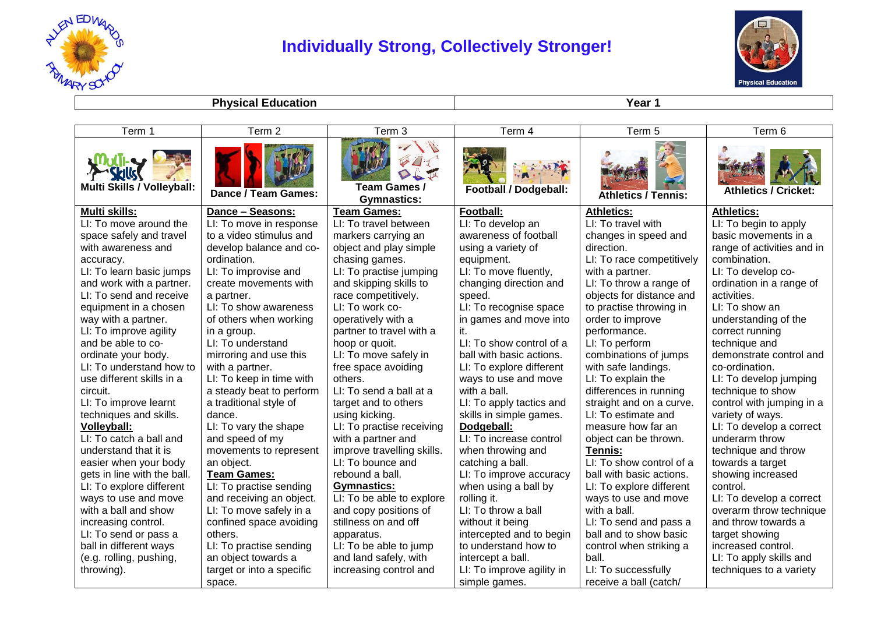

## **Individually Strong, Collectively Stronger!**



**Physical Education Year 1** 

| Term 1                      | Term 2                    | Term 3                             | Term 4                       | Term 5                     | Term 6                      |
|-----------------------------|---------------------------|------------------------------------|------------------------------|----------------------------|-----------------------------|
| Multi Skills / Volleyball:  | Dance / Team Games:       | Team Games /<br><b>Gymnastics:</b> | <b>Football / Dodgeball:</b> | <b>Athletics / Tennis:</b> | <b>Athletics / Cricket:</b> |
| <b>Multi skills:</b>        | Dance - Seasons:          | <b>Team Games:</b>                 | Football:                    | <b>Athletics:</b>          | <b>Athletics:</b>           |
| LI: To move around the      | LI: To move in response   | LI: To travel between              | LI: To develop an            | LI: To travel with         | LI: To begin to apply       |
| space safely and travel     | to a video stimulus and   | markers carrying an                | awareness of football        | changes in speed and       | basic movements in a        |
| with awareness and          | develop balance and co-   | object and play simple             | using a variety of           | direction.                 | range of activities and in  |
| accuracy.                   | ordination.               | chasing games.                     | equipment.                   | LI: To race competitively  | combination.                |
| LI: To learn basic jumps    | LI: To improvise and      | LI: To practise jumping            | LI: To move fluently,        | with a partner.            | LI: To develop co-          |
| and work with a partner.    | create movements with     | and skipping skills to             | changing direction and       | LI: To throw a range of    | ordination in a range of    |
| LI: To send and receive     | a partner.                | race competitively.                | speed.                       | objects for distance and   | activities.                 |
| equipment in a chosen       | LI: To show awareness     | LI: To work co-                    | LI: To recognise space       | to practise throwing in    | LI: To show an              |
| way with a partner.         | of others when working    | operatively with a                 | in games and move into       | order to improve           | understanding of the        |
| LI: To improve agility      | in a group.               | partner to travel with a           | it.                          | performance.               | correct running             |
| and be able to co-          | LI: To understand         | hoop or quoit.                     | LI: To show control of a     | LI: To perform             | technique and               |
| ordinate your body.         | mirroring and use this    | LI: To move safely in              | ball with basic actions.     | combinations of jumps      | demonstrate control and     |
| LI: To understand how to    | with a partner.           | free space avoiding                | LI: To explore different     | with safe landings.        | co-ordination.              |
| use different skills in a   | LI: To keep in time with  | others.                            | ways to use and move         | LI: To explain the         | LI: To develop jumping      |
| circuit.                    | a steady beat to perform  | LI: To send a ball at a            | with a ball.                 | differences in running     | technique to show           |
| LI: To improve learnt       | a traditional style of    | target and to others               | LI: To apply tactics and     | straight and on a curve.   | control with jumping in a   |
| techniques and skills.      | dance.                    | using kicking.                     | skills in simple games.      | LI: To estimate and        | variety of ways.            |
| <b>Volleyball:</b>          | LI: To vary the shape     | LI: To practise receiving          | Dodgeball:                   | measure how far an         | LI: To develop a correct    |
| LI: To catch a ball and     | and speed of my           | with a partner and                 | LI: To increase control      | object can be thrown.      | underarm throw              |
| understand that it is       | movements to represent    | improve travelling skills.         | when throwing and            | Tennis:                    | technique and throw         |
| easier when your body       | an object.                | LI: To bounce and                  | catching a ball.             | LI: To show control of a   | towards a target            |
| gets in line with the ball. | <b>Team Games:</b>        | rebound a ball.                    | LI: To improve accuracy      | ball with basic actions.   | showing increased           |
| LI: To explore different    | LI: To practise sending   | <b>Gymnastics:</b>                 | when using a ball by         | LI: To explore different   | control.                    |
| ways to use and move        | and receiving an object.  | LI: To be able to explore          | rolling it.                  | ways to use and move       | LI: To develop a correct    |
| with a ball and show        | LI: To move safely in a   | and copy positions of              | LI: To throw a ball          | with a ball.               | overarm throw technique     |
| increasing control.         | confined space avoiding   | stillness on and off               | without it being             | LI: To send and pass a     | and throw towards a         |
| LI: To send or pass a       | others.                   | apparatus.                         | intercepted and to begin     | ball and to show basic     | target showing              |
| ball in different ways      | LI: To practise sending   | LI: To be able to jump             | to understand how to         | control when striking a    | increased control.          |
| (e.g. rolling, pushing,     | an object towards a       | and land safely, with              | intercept a ball.            | ball.                      | LI: To apply skills and     |
| throwing).                  | target or into a specific | increasing control and             | LI: To improve agility in    | LI: To successfully        | techniques to a variety     |
|                             | space.                    |                                    | simple games.                | receive a ball (catch/     |                             |